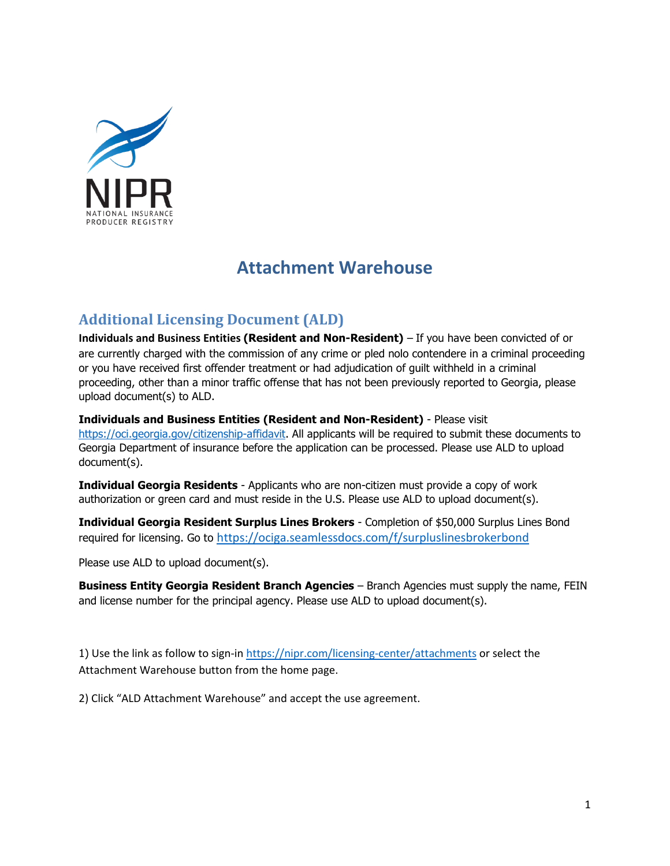

# **Attachment Warehouse**

## **Additional Licensing Document (ALD)**

**Individuals and Business Entities (Resident and Non-Resident)** – If you have been convicted of or are currently charged with the commission of any crime or pled nolo contendere in a criminal proceeding or you have received first offender treatment or had adjudication of guilt withheld in a criminal proceeding, other than a minor traffic offense that has not been previously reported to Georgia, please upload document(s) to ALD.

**Individuals and Business Entities (Resident and Non-Resident)** - Please visit [https://oci.georgia.gov/citizenship-affidavit.](https://oci.georgia.gov/citizenship-affidavit) All applicants will be required to submit these documents to Georgia Department of insurance before the application can be processed. Please use ALD to upload document(s).

**Individual Georgia Residents** - Applicants who are non-citizen must provide a copy of work authorization or green card and must reside in the U.S. Please use ALD to upload document(s).

**Individual Georgia Resident Surplus Lines Brokers** - Completion of \$50,000 Surplus Lines Bond required for licensing. Go to <https://ociga.seamlessdocs.com/f/surpluslinesbrokerbond>

Please use ALD to upload document(s).

**Business Entity Georgia Resident Branch Agencies** – Branch Agencies must supply the name, FEIN and license number for the principal agency. Please use ALD to upload document(s).

1) Use the link as follow to sign-in<https://nipr.com/licensing-center/attachments> or select the Attachment Warehouse button from the home page.

2) Click "ALD Attachment Warehouse" and accept the use agreement.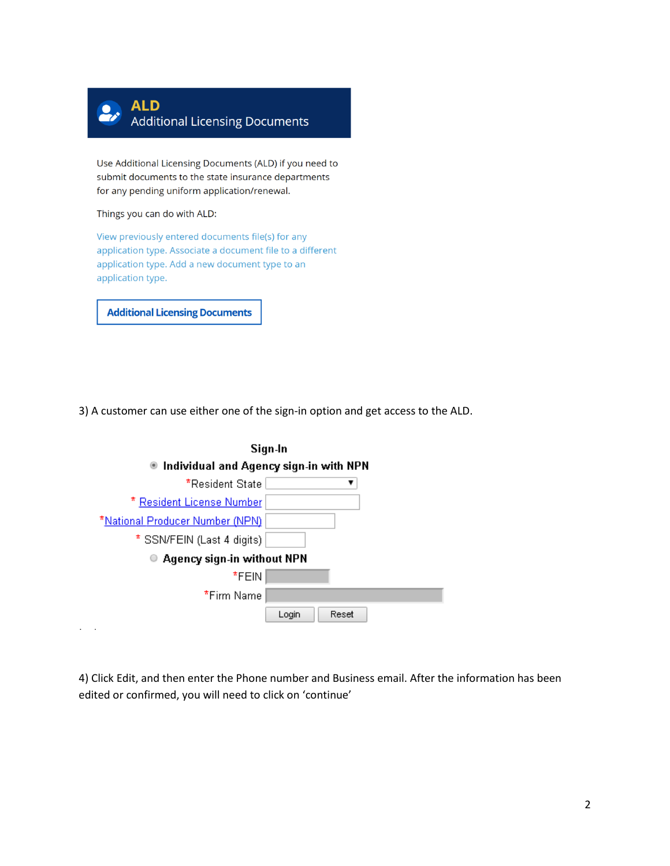

Use Additional Licensing Documents (ALD) if you need to submit documents to the state insurance departments for any pending uniform application/renewal.

Things you can do with ALD:

View previously entered documents file(s) for any application type. Associate a document file to a different application type. Add a new document type to an application type.

**Additional Licensing Documents** 

3) A customer can use either one of the sign-in option and get access to the ALD.



4) Click Edit, and then enter the Phone number and Business email. After the information has been edited or confirmed, you will need to click on 'continue'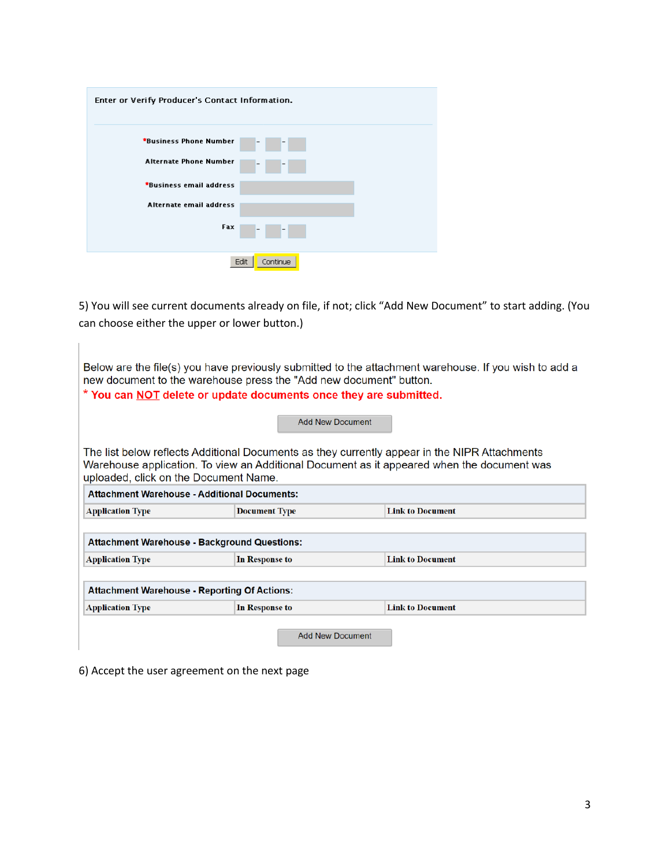| Enter or Verify Producer's Contact Information. |
|-------------------------------------------------|
| *Business Phone Number<br>$\qquad \qquad$       |
| <b>Alternate Phone Number</b>                   |
| *Business email address                         |
| Alternate email address                         |
| Fax<br>-                                        |
| Edit<br>Continue                                |

5) You will see current documents already on file, if not; click "Add New Document" to start adding. (You can choose either the upper or lower button.)

| new document to the warehouse press the "Add new document" button.<br>* You can <b>NOT</b> delete or update documents once they are submitted. | <b>Add New Document</b>                   | Below are the file(s) you have previously submitted to the attachment warehouse. If you wish to add a                                                                                       |
|------------------------------------------------------------------------------------------------------------------------------------------------|-------------------------------------------|---------------------------------------------------------------------------------------------------------------------------------------------------------------------------------------------|
| uploaded, click on the Document Name.                                                                                                          |                                           | The list below reflects Additional Documents as they currently appear in the NIPR Attachments<br>Warehouse application. To view an Additional Document as it appeared when the document was |
| <b>Attachment Warehouse - Additional Documents:</b>                                                                                            |                                           |                                                                                                                                                                                             |
| <b>Link to Document</b><br><b>Application Type</b><br><b>Document Type</b>                                                                     |                                           |                                                                                                                                                                                             |
| <b>Attachment Warehouse - Background Questions:</b>                                                                                            |                                           |                                                                                                                                                                                             |
| <b>Application Type</b>                                                                                                                        | In Response to                            | <b>Link to Document</b>                                                                                                                                                                     |
| <b>Attachment Warehouse - Reporting Of Actions:</b>                                                                                            |                                           |                                                                                                                                                                                             |
| <b>Application Type</b>                                                                                                                        | <b>Link to Document</b><br>In Response to |                                                                                                                                                                                             |
|                                                                                                                                                | <b>Add New Document</b>                   |                                                                                                                                                                                             |

6) Accept the user agreement on the next page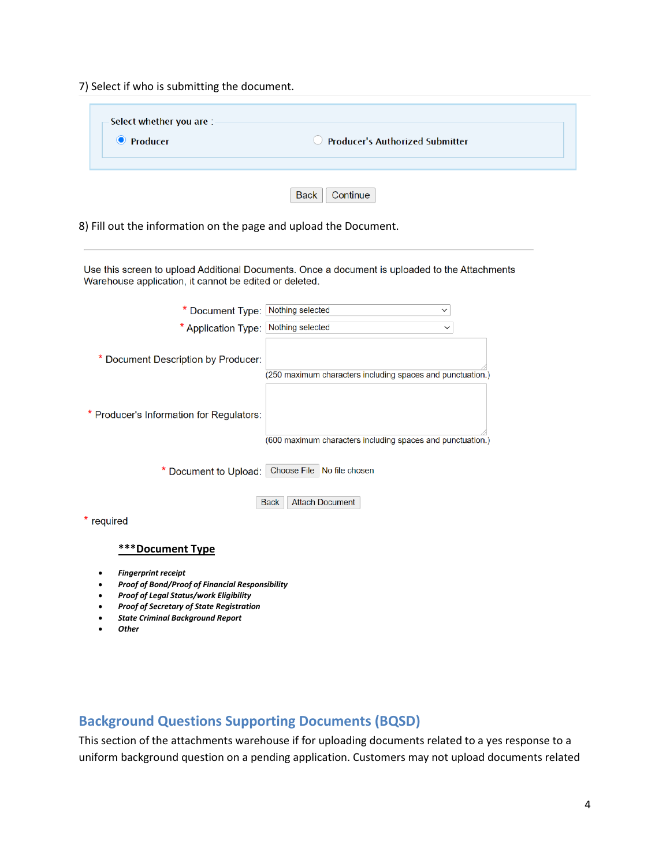7) Select if who is submitting the document.

| -Select whether you are :-<br><b>O</b> Producer | $\bigcirc$ Producer's Authorized Submitter |  |
|-------------------------------------------------|--------------------------------------------|--|
|                                                 | <b>Back</b><br>Continue                    |  |

8) Fill out the information on the page and upload the Document.

Use this screen to upload Additional Documents. Once a document is uploaded to the Attachments Warehouse application, it cannot be edited or deleted.

| * Document Type: Nothing selected        | $\checkmark$                                               |
|------------------------------------------|------------------------------------------------------------|
| * Application Type: Nothing selected     | $\checkmark$                                               |
| Document Description by Producer:        | (250 maximum characters including spaces and punctuation.) |
| * Producer's Information for Regulators: | (600 maximum characters including spaces and punctuation.) |
|                                          | * Document to Upload: Choose File No file chosen           |
| required                                 | <b>Attach Document</b><br><b>Back</b>                      |
|                                          |                                                            |

#### **\*\*\*Document Type**

- *Fingerprint receipt*
- *Proof of Bond/Proof of Financial Responsibility*
- *Proof of Legal Status/work Eligibility*
- *Proof of Secretary of State Registration*
- *State Criminal Background Report*
- *Other*

### **Background Questions Supporting Documents (BQSD)**

This section of the attachments warehouse if for uploading documents related to a yes response to a uniform background question on a pending application. Customers may not upload documents related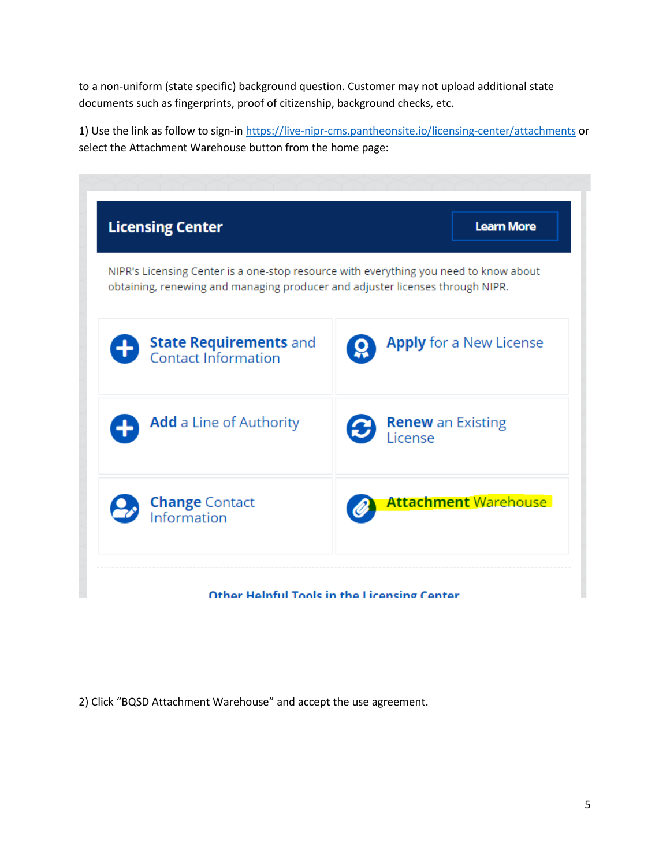to a non-uniform (state specific) background question. Customer may not upload additional state documents such as fingerprints, proof of citizenship, background checks, etc.

1) Use the link as follow to sign-in<https://live-nipr-cms.pantheonsite.io/licensing-center/attachments> or select the Attachment Warehouse button from the home page:

| <b>Licensing Center</b>                                                                                                                                                | <b>Learn More</b>                          |
|------------------------------------------------------------------------------------------------------------------------------------------------------------------------|--------------------------------------------|
| NIPR's Licensing Center is a one-stop resource with everything you need to know about<br>obtaining, renewing and managing producer and adjuster licenses through NIPR. |                                            |
| <b>State Requirements and</b><br>Contact Information                                                                                                                   | <b>Apply</b> for a New License             |
| <b>Add</b> a Line of Authority                                                                                                                                         | <b>Renew</b> an Existing<br>License<br>(C) |
| <b>Change</b> Contact<br>Information                                                                                                                                   | <b>Attachment Warehouse</b>                |

<sup>2)</sup> Click "BQSD Attachment Warehouse" and accept the use agreement.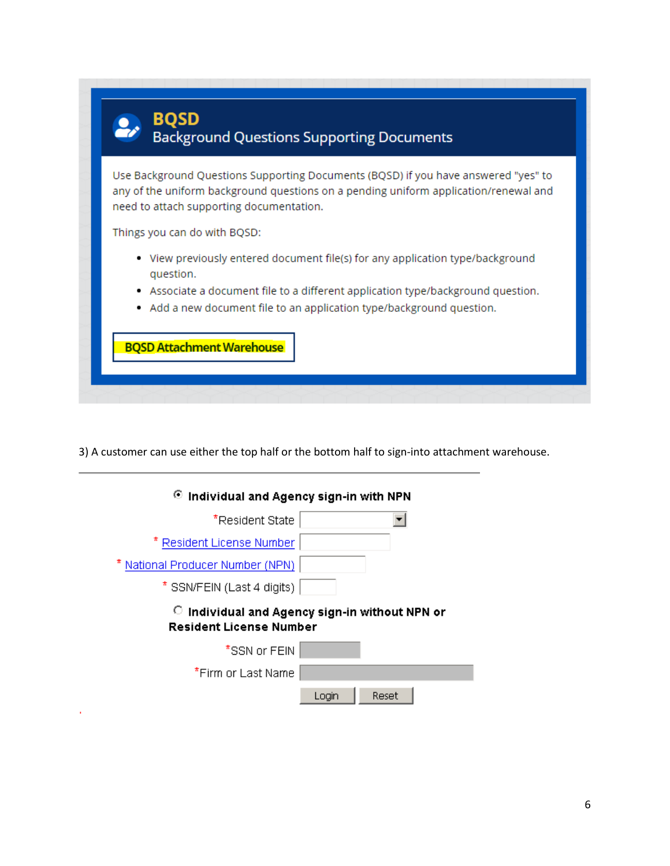

3) A customer can use either the top half or the bottom half to sign-into attachment warehouse.

| $\odot$ Individual and Agency sign-in with NPN                                       |  |
|--------------------------------------------------------------------------------------|--|
| *Resident State                                                                      |  |
| * Resident License Number                                                            |  |
| National Producer Number (NPN)                                                       |  |
| * SSN/FEIN (Last 4 digits)                                                           |  |
|                                                                                      |  |
| 0.<br>Individual and Agency sign-in without NPN or<br><b>Resident License Number</b> |  |
| *SSN or FEIN                                                                         |  |
| *Firm or Last Name                                                                   |  |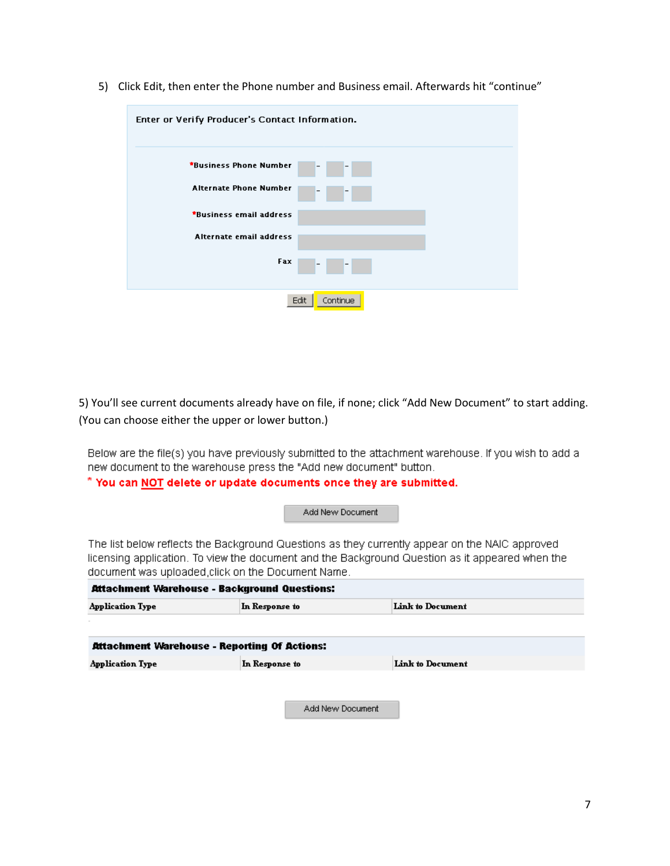| Enter or Verify Producer's Contact Information. |
|-------------------------------------------------|
| *Business Phone Number                          |
| <b>Alternate Phone Number</b>                   |
| *Business email address                         |
| Alternate email address                         |
| Fax<br>$\qquad \qquad -$                        |
| Edit<br>Continue                                |

5) Click Edit, then enter the Phone number and Business email. Afterwards hit "continue"

5) You'll see current documents already have on file, if none; click "Add New Document" to start adding. (You can choose either the upper or lower button.)

Below are the file(s) you have previously submitted to the attachment warehouse. If you wish to add a new document to the warehouse press the "Add new document" button.

### \* You can NOT delete or update documents once they are submitted.

Add New Document

The list below reflects the Background Questions as they currently appear on the NAIC approved licensing application. To view the document and the Background Question as it appeared when the document was uploaded, click on the Document Name.

| Attachment Warehouse - Background Questions: |                                    |  |  |
|----------------------------------------------|------------------------------------|--|--|
| <b>Application Type</b>                      | Link to Document<br>In Response to |  |  |
|                                              |                                    |  |  |
| Attachment Warehouse - Reporting Of Actions: |                                    |  |  |
| <b>Application Type</b>                      | Link to Document<br>In Response to |  |  |
|                                              |                                    |  |  |
|                                              | Add New Document                   |  |  |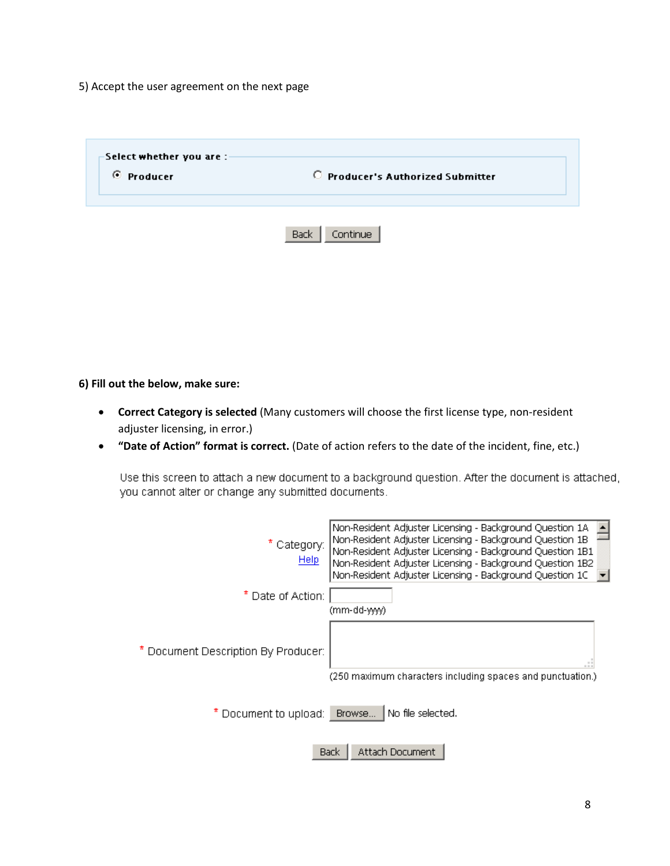5) Accept the user agreement on the next page

| -Select whether you are :- |                                   |
|----------------------------|-----------------------------------|
| C Producer                 | C Producer's Authorized Submitter |
|                            |                                   |
|                            |                                   |
|                            | Continue<br><b>Back</b>           |

**6) Fill out the below, make sure:**

- **Correct Category is selected** (Many customers will choose the first license type, non-resident adjuster licensing, in error.)
- **"Date of Action" format is correct.** (Date of action refers to the date of the incident, fine, etc.)

Use this screen to attach a new document to a background question. After the document is attached, you cannot alter or change any submitted documents.

| * Category:<br><b>Help</b>          | Non-Resident Adjuster Licensing - Background Question 1A<br>Non-Resident Adjuster Licensing - Background Question 1B<br>Non-Resident Adjuster Licensing - Background Question 1B1<br>Non-Resident Adjuster Licensing - Background Question 1B2<br>Non-Resident Adjuster Licensing - Background Question 1C |
|-------------------------------------|------------------------------------------------------------------------------------------------------------------------------------------------------------------------------------------------------------------------------------------------------------------------------------------------------------|
| * Date of Action:                   | (mm-dd-yyyy)                                                                                                                                                                                                                                                                                               |
| * Document Description By Producer: | $-11$<br>(250 maximum characters including spaces and punctuation.)                                                                                                                                                                                                                                        |
| * Document to upload: Browse        | No file selected.                                                                                                                                                                                                                                                                                          |
|                                     | Attach Document<br>Back                                                                                                                                                                                                                                                                                    |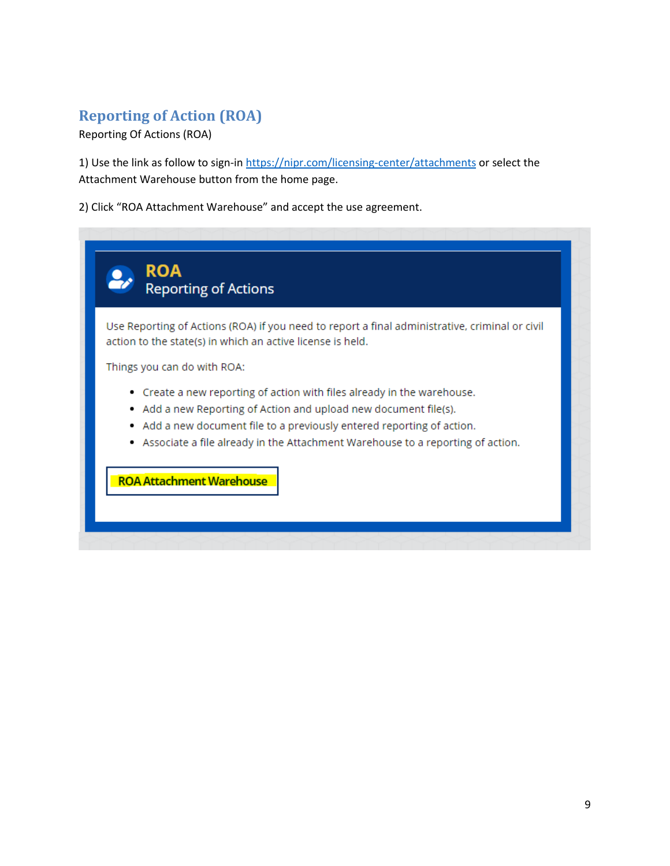## **Reporting of Action (ROA)**

Reporting Of Actions (ROA)

1) Use the link as follow to sign-in<https://nipr.com/licensing-center/attachments> or select the Attachment Warehouse button from the home page.

2) Click "ROA Attachment Warehouse" and accept the use agreement.

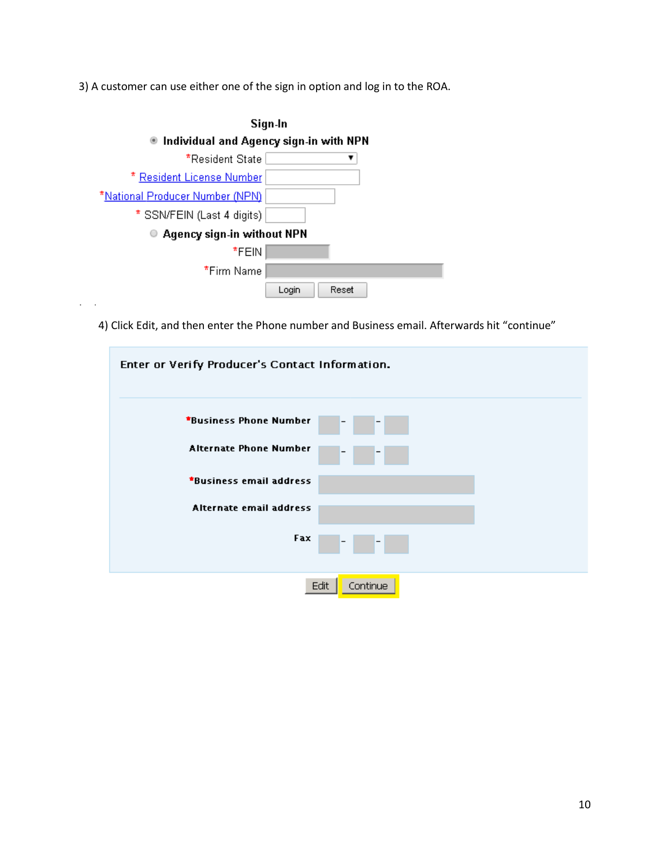3) A customer can use either one of the sign in option and log in to the ROA.

| Sign-In                                     |                       |
|---------------------------------------------|-----------------------|
| Individual and Agency sign-in with NPN<br>۰ |                       |
| *Resident State:                            |                       |
| * <u>Resident License Number</u>            |                       |
| *National Producer Number (NPN)             |                       |
| * SSN/FEIN (Last 4 digits)                  |                       |
| Agency sign-in without NPN                  |                       |
| *FEIN                                       |                       |
| *Firm Name                                  |                       |
|                                             | <b>Reset</b><br>Login |

4) Click Edit, and then enter the Phone number and Business email. Afterwards hit "continue"

| Enter or Verify Producer's Contact Information.    |
|----------------------------------------------------|
| *Business Phone Number<br>$\overline{\phantom{a}}$ |
| <b>Alternate Phone Number</b>                      |
| *Business email address                            |
| Alternate email address                            |
| Fax.                                               |
| Edit<br>Continue                                   |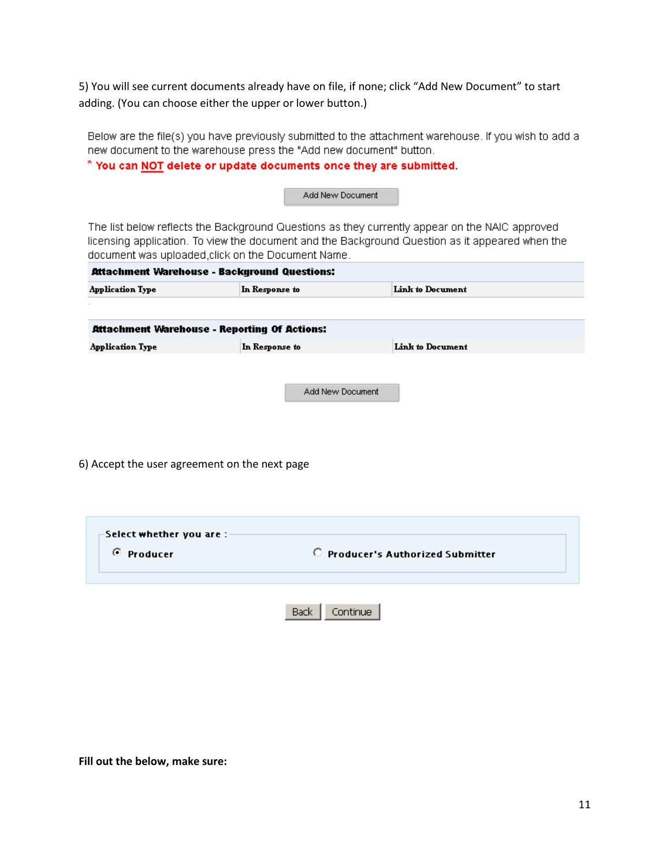5) You will see current documents already have on file, if none; click "Add New Document" to start adding. (You can choose either the upper or lower button.)

Below are the file(s) you have previously submitted to the attachment warehouse. If you wish to add a new document to the warehouse press the "Add new document" button.

\* You can NOT delete or update documents once they are submitted.

Add New Document

The list below reflects the Background Questions as they currently appear on the NAIC approved licensing application. To view the document and the Background Question as it appeared when the document was uploaded, click on the Document Name.

| Attachment Warehouse - Background Questions: |                  |                  |  |  |
|----------------------------------------------|------------------|------------------|--|--|
| <b>Application Type</b>                      | In Response to   | Link to Document |  |  |
|                                              |                  |                  |  |  |
| Attachment Warehouse - Reporting Of Actions: |                  |                  |  |  |
| <b>Application Type</b>                      | In Response to   | Link to Document |  |  |
|                                              |                  |                  |  |  |
|                                              |                  |                  |  |  |
|                                              | Add New Document |                  |  |  |
|                                              |                  |                  |  |  |

6) Accept the user agreement on the next page

| -Select whether you are :-<br>C Producer | C Producer's Authorized Submitter |  |
|------------------------------------------|-----------------------------------|--|
|                                          | <b>Back</b><br>iontinue.          |  |

**Fill out the below, make sure:**